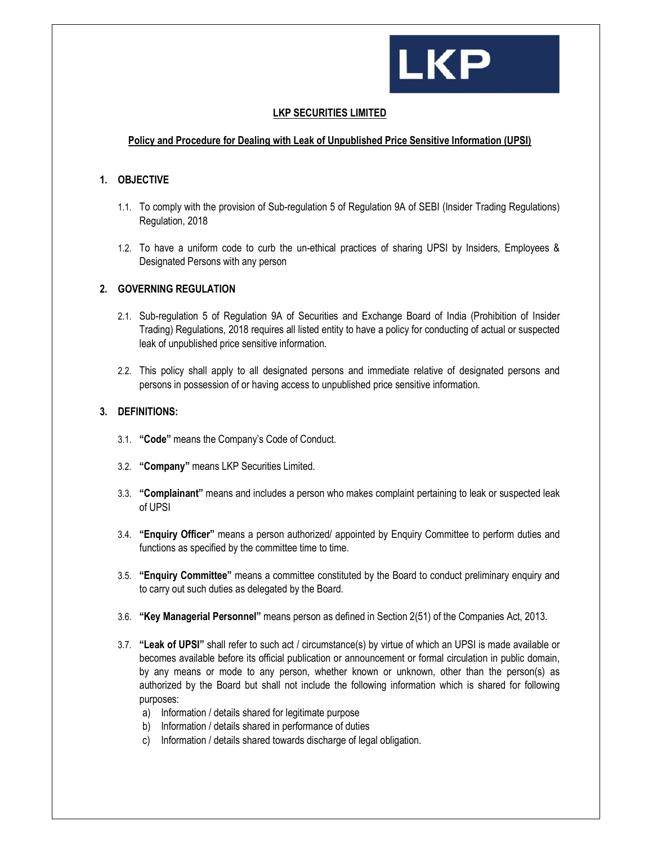

## **LKP SECURITIES LIMITED**

# **Policy and Procedure for Dealing with Leak of Unpublished Price Sensitive Information (UPSI)**

#### **1. OBJECTIVE**

- 1.1. To comply with the provision of Sub-regulation 5 of Regulation 9A of SEBI (Insider Trading Regulations) Regulation, 2018
- 1.2. To have a uniform code to curb the un-ethical practices of sharing UPSI by Insiders, Employees & Designated Persons with any person

#### **2. GOVERNING REGULATION**

- 2.1. Sub-regulation 5 of Regulation 9A of Securities and Exchange Board of India (Prohibition of Insider Trading) Regulations, 2018 requires all listed entity to have a policy for conducting of actual or suspected leak of unpublished price sensitive information.
- 2.2. This policy shall apply to all designated persons and immediate relative of designated persons and persons in possession of or having access to unpublished price sensitive information.

## **3. DEFINITIONS:**

- 3.1. **"Code"** means the Company's Code of Conduct.
- 3.2. **"Company"** means LKP Securities Limited.
- 3.3. **"Complainant"** means and includes a person who makes complaint pertaining to leak or suspected leak of UPSI
- 3.4. **"Enquiry Officer"** means a person authorized/ appointed by Enquiry Committee to perform duties and functions as specified by the committee time to time.
- 3.5. **"Enquiry Committee"** means a committee constituted by the Board to conduct preliminary enquiry and to carry out such duties as delegated by the Board.
- 3.6. **"Key Managerial Personnel"** means person as defined in Section 2(51) of the Companies Act, 2013.
- 3.7. **"Leak of UPSI"** shall refer to such act / circumstance(s) by virtue of which an UPSI is made available or becomes available before its official publication or announcement or formal circulation in public domain, by any means or mode to any person, whether known or unknown, other than the person(s) as authorized by the Board but shall not include the following information which is shared for following purposes:
	- a) Information / details shared for legitimate purpose
	- b) Information / details shared in performance of duties
	- c) Information / details shared towards discharge of legal obligation.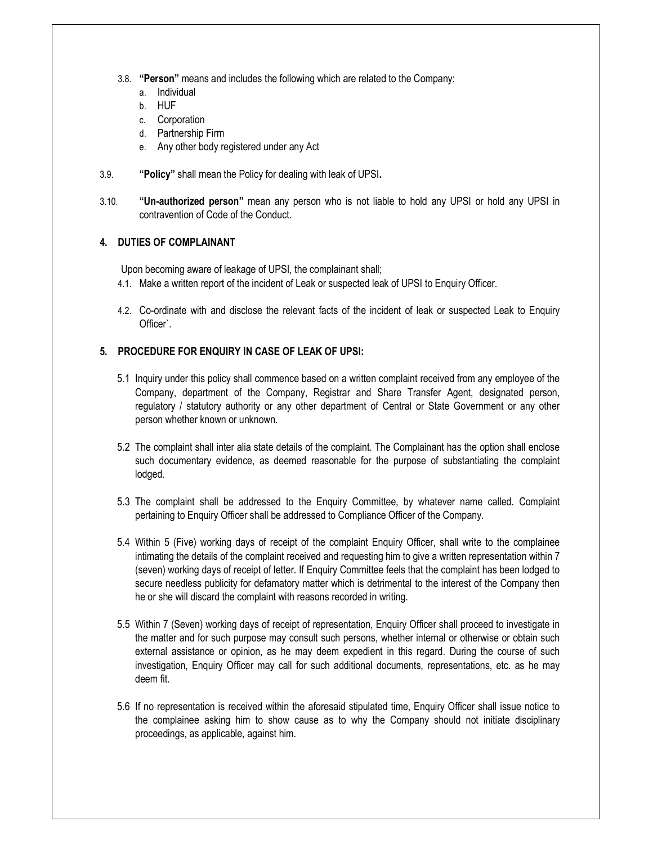- 3.8. **"Person"** means and includes the following which are related to the Company:
	- a. Individual
	- b. HUF
	- c. Corporation
	- d. Partnership Firm
	- e. Any other body registered under any Act
- 3.9. **"Policy"** shall mean the Policy for dealing with leak of UPSI**.**
- 3.10. **"Un-authorized person"** mean any person who is not liable to hold any UPSI or hold any UPSI in contravention of Code of the Conduct.

## **4. DUTIES OF COMPLAINANT**

Upon becoming aware of leakage of UPSI, the complainant shall;

- 4.1. Make a written report of the incident of Leak or suspected leak of UPSI to Enquiry Officer.
- 4.2. Co-ordinate with and disclose the relevant facts of the incident of leak or suspected Leak to Enquiry Officer`.

# **5. PROCEDURE FOR ENQUIRY IN CASE OF LEAK OF UPSI:**

- 5.1 Inquiry under this policy shall commence based on a written complaint received from any employee of the Company, department of the Company, Registrar and Share Transfer Agent, designated person, regulatory / statutory authority or any other department of Central or State Government or any other person whether known or unknown.
- 5.2 The complaint shall inter alia state details of the complaint. The Complainant has the option shall enclose such documentary evidence, as deemed reasonable for the purpose of substantiating the complaint lodged.
- 5.3 The complaint shall be addressed to the Enquiry Committee, by whatever name called. Complaint pertaining to Enquiry Officer shall be addressed to Compliance Officer of the Company.
- 5.4 Within 5 (Five) working days of receipt of the complaint Enquiry Officer, shall write to the complainee intimating the details of the complaint received and requesting him to give a written representation within 7 (seven) working days of receipt of letter. If Enquiry Committee feels that the complaint has been lodged to secure needless publicity for defamatory matter which is detrimental to the interest of the Company then he or she will discard the complaint with reasons recorded in writing.
- 5.5 Within 7 (Seven) working days of receipt of representation, Enquiry Officer shall proceed to investigate in the matter and for such purpose may consult such persons, whether internal or otherwise or obtain such external assistance or opinion, as he may deem expedient in this regard. During the course of such investigation, Enquiry Officer may call for such additional documents, representations, etc. as he may deem fit.
- 5.6 If no representation is received within the aforesaid stipulated time, Enquiry Officer shall issue notice to the complainee asking him to show cause as to why the Company should not initiate disciplinary proceedings, as applicable, against him.